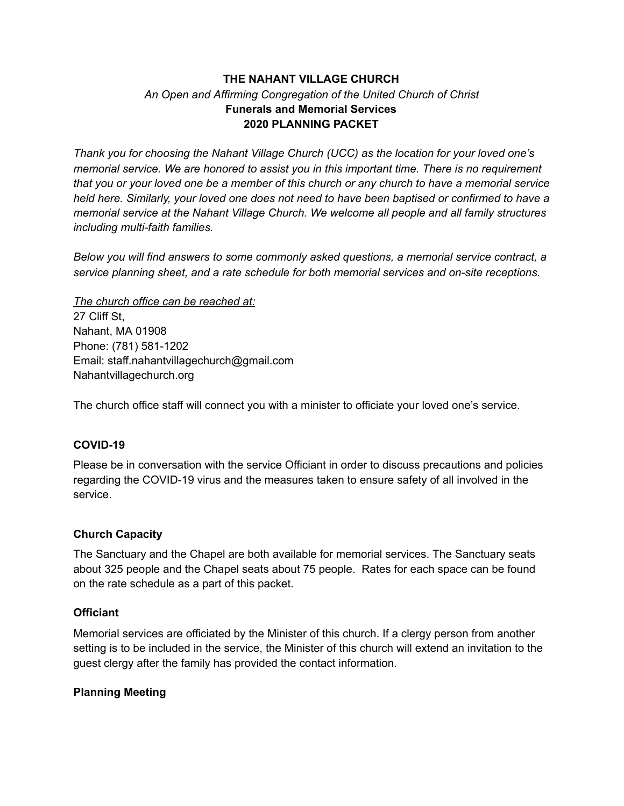## **THE NAHANT VILLAGE CHURCH** *An Open and Affirming Congregation of the United Church of Christ* **Funerals and Memorial Services 2020 PLANNING PACKET**

*Thank you for choosing the Nahant Village Church (UCC) as the location for your loved one's memorial service. We are honored to assist you in this important time. There is no requirement* that you or your loved one be a member of this church or any church to have a memorial service *held here. Similarly, your loved one does not need to have been baptised or confirmed to have a memorial service at the Nahant Village Church. We welcome all people and all family structures including multi-faith families.*

*Below you will find answers to some commonly asked questions, a memorial service contract, a service planning sheet, and a rate schedule for both memorial services and on-site receptions.*

*The church office can be reached at:* 27 Cliff St. Nahant, MA 01908 Phone: (781) 581-1202 Email: staff.nahantvillagechurch@gmail.com Nahantvillagechurch.org

The church office staff will connect you with a minister to officiate your loved one's service.

### **COVID-19**

Please be in conversation with the service Officiant in order to discuss precautions and policies regarding the COVID-19 virus and the measures taken to ensure safety of all involved in the service.

### **Church Capacity**

The Sanctuary and the Chapel are both available for memorial services. The Sanctuary seats about 325 people and the Chapel seats about 75 people. Rates for each space can be found on the rate schedule as a part of this packet.

### **Officiant**

Memorial services are officiated by the Minister of this church. If a clergy person from another setting is to be included in the service, the Minister of this church will extend an invitation to the guest clergy after the family has provided the contact information.

## **Planning Meeting**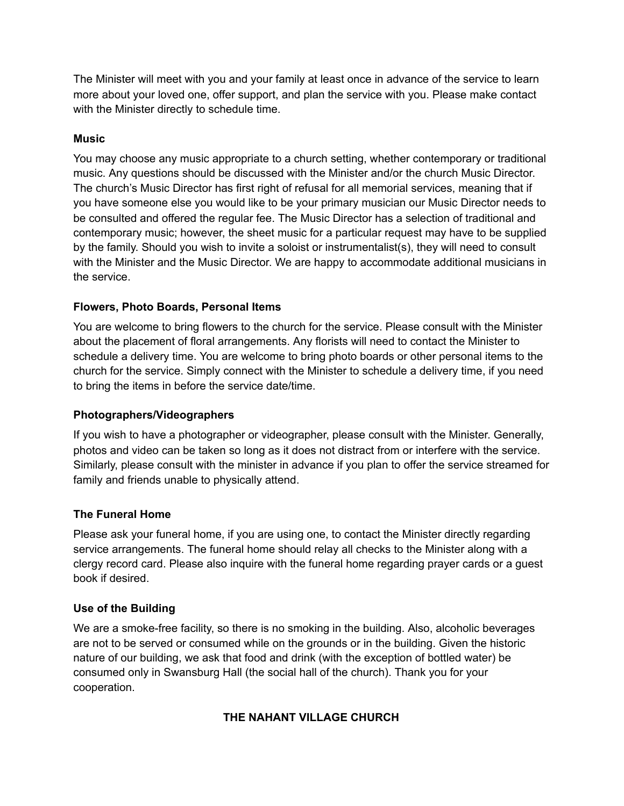The Minister will meet with you and your family at least once in advance of the service to learn more about your loved one, offer support, and plan the service with you. Please make contact with the Minister directly to schedule time.

## **Music**

You may choose any music appropriate to a church setting, whether contemporary or traditional music. Any questions should be discussed with the Minister and/or the church Music Director. The church's Music Director has first right of refusal for all memorial services, meaning that if you have someone else you would like to be your primary musician our Music Director needs to be consulted and offered the regular fee. The Music Director has a selection of traditional and contemporary music; however, the sheet music for a particular request may have to be supplied by the family. Should you wish to invite a soloist or instrumentalist(s), they will need to consult with the Minister and the Music Director. We are happy to accommodate additional musicians in the service.

## **Flowers, Photo Boards, Personal Items**

You are welcome to bring flowers to the church for the service. Please consult with the Minister about the placement of floral arrangements. Any florists will need to contact the Minister to schedule a delivery time. You are welcome to bring photo boards or other personal items to the church for the service. Simply connect with the Minister to schedule a delivery time, if you need to bring the items in before the service date/time.

## **Photographers/Videographers**

If you wish to have a photographer or videographer, please consult with the Minister. Generally, photos and video can be taken so long as it does not distract from or interfere with the service. Similarly, please consult with the minister in advance if you plan to offer the service streamed for family and friends unable to physically attend.

## **The Funeral Home**

Please ask your funeral home, if you are using one, to contact the Minister directly regarding service arrangements. The funeral home should relay all checks to the Minister along with a clergy record card. Please also inquire with the funeral home regarding prayer cards or a guest book if desired.

## **Use of the Building**

We are a smoke-free facility, so there is no smoking in the building. Also, alcoholic beverages are not to be served or consumed while on the grounds or in the building. Given the historic nature of our building, we ask that food and drink (with the exception of bottled water) be consumed only in Swansburg Hall (the social hall of the church). Thank you for your cooperation.

## **THE NAHANT VILLAGE CHURCH**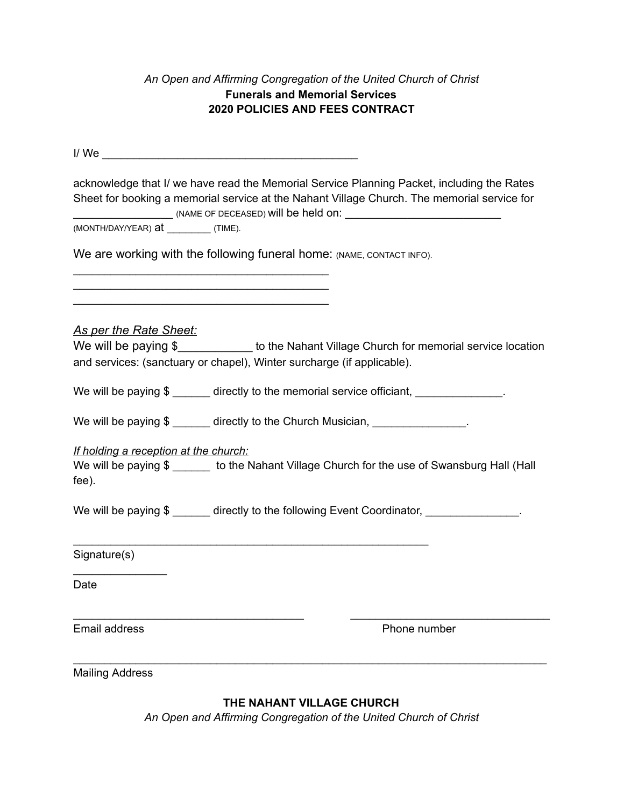## *An Open and Affirming Congregation of the United Church of Christ* **Funerals and Memorial Services 2020 POLICIES AND FEES CONTRACT**

 $I / We \fbox{1/10}$ 

| acknowledge that I/ we have read the Memorial Service Planning Packet, including the Rates<br>Sheet for booking a memorial service at the Nahant Village Church. The memorial service for |  |
|-------------------------------------------------------------------------------------------------------------------------------------------------------------------------------------------|--|
| (MONTH/DAY/YEAR) at ____________(TIME).                                                                                                                                                   |  |
| We are working with the following funeral home: (NAME, CONTACT INFO).                                                                                                                     |  |
| <b>As per the Rate Sheet:</b>                                                                                                                                                             |  |
| We will be paying \$ to the Nahant Village Church for memorial service location                                                                                                           |  |
| and services: (sanctuary or chapel), Winter surcharge (if applicable).                                                                                                                    |  |
| We will be paying \$ ______ directly to the memorial service officiant, _____________.                                                                                                    |  |
| We will be paying \$ ______ directly to the Church Musician, _______________.                                                                                                             |  |
| If holding a reception at the church:                                                                                                                                                     |  |
| We will be paying \$ ______ to the Nahant Village Church for the use of Swansburg Hall (Hall                                                                                              |  |
| fee).                                                                                                                                                                                     |  |
| We will be paying \$ ______ directly to the following Event Coordinator, _______________.                                                                                                 |  |
| Signature(s)                                                                                                                                                                              |  |
| Date                                                                                                                                                                                      |  |
| Email address<br>Phone number                                                                                                                                                             |  |
| <b>Mailing Address</b>                                                                                                                                                                    |  |

**THE NAHANT VILLAGE CHURCH**

*An Open and Affirming Congregation of the United Church of Christ*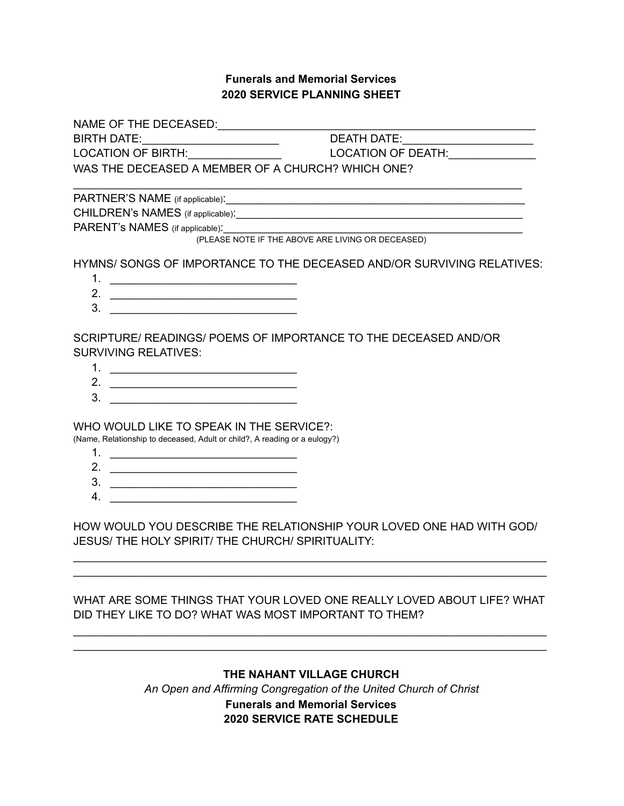## **Funerals and Memorial Services 2020 SERVICE PLANNING SHEET**

NAME OF THE DECEASED:\_\_\_\_\_\_\_\_\_\_\_\_\_\_\_\_\_\_\_\_\_\_\_\_\_\_\_\_\_\_\_\_\_\_\_\_\_\_\_\_\_\_\_\_\_\_\_\_\_\_\_ BIRTH DATE:\_\_\_\_\_\_\_\_\_\_\_\_\_\_\_\_\_\_\_\_\_\_ DEATH DATE:\_\_\_\_\_\_\_\_\_\_\_\_\_\_\_\_\_\_\_\_\_ LOCATION OF BIRTH:\_\_\_\_\_\_\_\_\_\_\_\_\_\_\_ LOCATION OF DEATH:\_\_\_\_\_\_\_\_\_\_\_\_\_\_

WAS THE DECEASED A MEMBER OF A CHURCH? WHICH ONE?

PARTNER'S NAME (if applicable):\_\_\_\_\_\_\_\_\_\_\_\_\_\_\_\_\_\_\_\_\_\_\_\_\_\_\_\_\_\_\_\_\_\_\_\_\_\_\_\_\_\_\_\_\_\_\_\_

CHILDREN's NAMES (if applicable):  $\blacksquare$ 

PARENT's NAMES (if applicable):

(PLEASE NOTE IF THE ABOVE ARE LIVING OR DECEASED)

HYMNS/ SONGS OF IMPORTANCE TO THE DECEASED AND/OR SURVIVING RELATIVES:

 $\mathcal{L}_\text{max}$  and  $\mathcal{L}_\text{max}$  and  $\mathcal{L}_\text{max}$  and  $\mathcal{L}_\text{max}$  and  $\mathcal{L}_\text{max}$  and  $\mathcal{L}_\text{max}$ 

- 1. \_\_\_\_\_\_\_\_\_\_\_\_\_\_\_\_\_\_\_\_\_\_\_\_\_\_\_\_\_\_
- 2. \_\_\_\_\_\_\_\_\_\_\_\_\_\_\_\_\_\_\_\_\_\_\_\_\_\_\_\_\_\_  $3.$
- 

SCRIPTURE/ READINGS/ POEMS OF IMPORTANCE TO THE DECEASED AND/OR SURVIVING RELATIVES:

- 1. \_\_\_\_\_\_\_\_\_\_\_\_\_\_\_\_\_\_\_\_\_\_\_\_\_\_\_\_\_\_
- 2.  $\frac{1}{2}$   $\frac{1}{2}$   $\frac{1}{2}$   $\frac{1}{2}$   $\frac{1}{2}$   $\frac{1}{2}$   $\frac{1}{2}$   $\frac{1}{2}$   $\frac{1}{2}$   $\frac{1}{2}$   $\frac{1}{2}$   $\frac{1}{2}$   $\frac{1}{2}$   $\frac{1}{2}$   $\frac{1}{2}$   $\frac{1}{2}$   $\frac{1}{2}$   $\frac{1}{2}$   $\frac{1}{2}$   $\frac{1}{2}$   $\frac{1}{2}$   $\frac{1}{2}$
- 3. \_\_\_\_\_\_\_\_\_\_\_\_\_\_\_\_\_\_\_\_\_\_\_\_\_\_\_\_\_\_

WHO WOULD LIKE TO SPEAK IN THE SERVICE?:

(Name, Relationship to deceased, Adult or child?, A reading or a eulogy?)

- 1. \_\_\_\_\_\_\_\_\_\_\_\_\_\_\_\_\_\_\_\_\_\_\_\_\_\_\_\_\_\_
- 2. \_\_\_\_\_\_\_\_\_\_\_\_\_\_\_\_\_\_\_\_\_\_\_\_\_\_\_\_\_\_
- 3. \_\_\_\_\_\_\_\_\_\_\_\_\_\_\_\_\_\_\_\_\_\_\_\_\_\_\_\_\_\_
- 4. \_\_\_\_\_\_\_\_\_\_\_\_\_\_\_\_\_\_\_\_\_\_\_\_\_\_\_\_\_\_

HOW WOULD YOU DESCRIBE THE RELATIONSHIP YOUR LOVED ONE HAD WITH GOD/ JESUS/ THE HOLY SPIRIT/ THE CHURCH/ SPIRITUALITY:

 $\mathcal{L}_\text{max}$  and  $\mathcal{L}_\text{max}$  and  $\mathcal{L}_\text{max}$  and  $\mathcal{L}_\text{max}$  and  $\mathcal{L}_\text{max}$  and  $\mathcal{L}_\text{max}$  $\mathcal{L}_\text{max}$  and  $\mathcal{L}_\text{max}$  and  $\mathcal{L}_\text{max}$  and  $\mathcal{L}_\text{max}$  and  $\mathcal{L}_\text{max}$  and  $\mathcal{L}_\text{max}$ 

WHAT ARE SOME THINGS THAT YOUR LOVED ONE REALLY LOVED ABOUT LIFE? WHAT DID THEY LIKE TO DO? WHAT WAS MOST IMPORTANT TO THEM?

 $\mathcal{L}_\text{max}$  and  $\mathcal{L}_\text{max}$  and  $\mathcal{L}_\text{max}$  and  $\mathcal{L}_\text{max}$  and  $\mathcal{L}_\text{max}$  and  $\mathcal{L}_\text{max}$  $\mathcal{L}_\text{max}$  and  $\mathcal{L}_\text{max}$  and  $\mathcal{L}_\text{max}$  and  $\mathcal{L}_\text{max}$  and  $\mathcal{L}_\text{max}$  and  $\mathcal{L}_\text{max}$ 

# **THE NAHANT VILLAGE CHURCH** *An Open and Affirming Congregation of the United Church of Christ* **Funerals and Memorial Services 2020 SERVICE RATE SCHEDULE**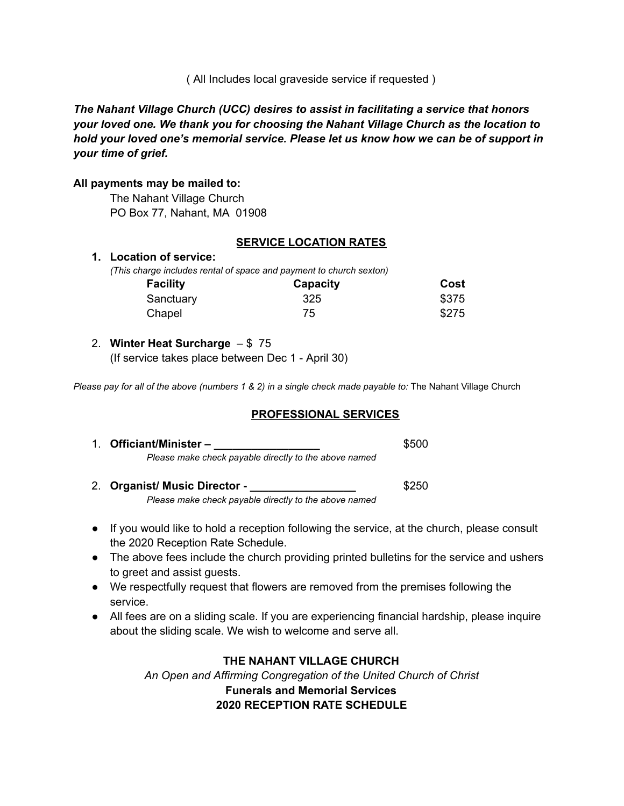( All Includes local graveside service if requested )

*The Nahant Village Church (UCC) desires to assist in facilitating a service that honors your loved one. We thank you for choosing the Nahant Village Church as the location to hold your loved one's memorial service. Please let us know how we can be of support in your time of grief.*

### **All payments may be mailed to:**

The Nahant Village Church PO Box 77, Nahant, MA 01908

### **SERVICE LOCATION RATES**

### **1. Location of service:**

*(This charge includes rental of space and payment to church sexton)* 

| <b>Facility</b> | Capacity | Cost  |
|-----------------|----------|-------|
| Sanctuary       | 325      | \$375 |
| Chapel          | 75       | \$275 |

### 2. **Winter Heat Surcharge** – \$ 75

(If service takes place between Dec 1 - April 30)

*Please pay for all of the above (numbers 1 & 2) in a single check made payable to: The Nahant Village Church* 

### **PROFESSIONAL SERVICES**

| 1. Officiant/Minister –                               | \$500 |
|-------------------------------------------------------|-------|
| Please make check payable directly to the above named |       |
|                                                       |       |

- 2. **Organist/ Music Director - \_\_\_\_\_\_\_\_\_\_\_\_\_\_\_\_\_** \$250 *Please make check payable directly to the above named*
- If you would like to hold a reception following the service, at the church, please consult the 2020 Reception Rate Schedule.
- The above fees include the church providing printed bulletins for the service and ushers to greet and assist guests.
- We respectfully request that flowers are removed from the premises following the service.
- All fees are on a sliding scale. If you are experiencing financial hardship, please inquire about the sliding scale. We wish to welcome and serve all.

## **THE NAHANT VILLAGE CHURCH**

*An Open and Affirming Congregation of the United Church of Christ* **Funerals and Memorial Services 2020 RECEPTION RATE SCHEDULE**